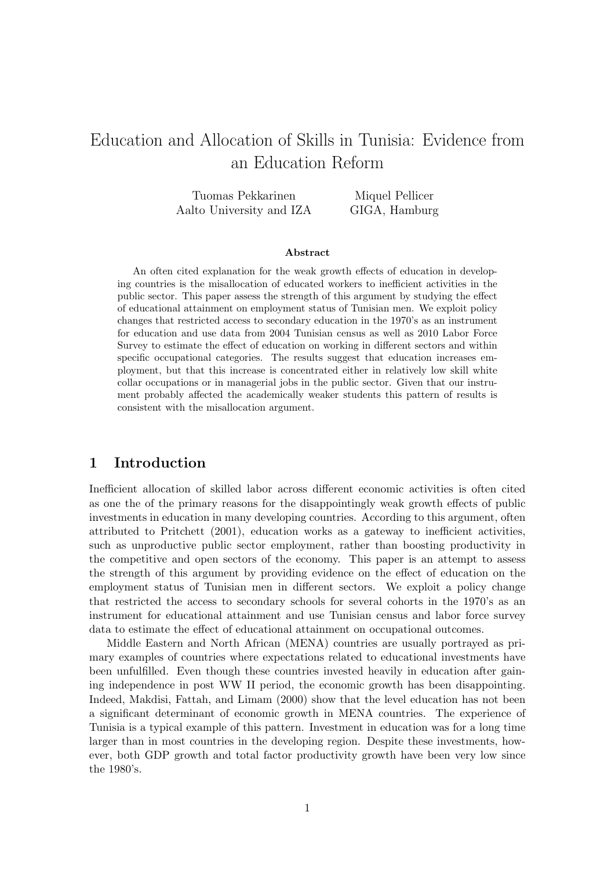# Education and Allocation of Skills in Tunisia: Evidence from an Education Reform

| Tuomas Pekkarinen        | Miquel Pellicer |
|--------------------------|-----------------|
| Aalto University and IZA | GIGA, Hamburg   |

#### Abstract

An often cited explanation for the weak growth effects of education in developing countries is the misallocation of educated workers to inefficient activities in the public sector. This paper assess the strength of this argument by studying the effect of educational attainment on employment status of Tunisian men. We exploit policy changes that restricted access to secondary education in the 1970's as an instrument for education and use data from 2004 Tunisian census as well as 2010 Labor Force Survey to estimate the effect of education on working in different sectors and within specific occupational categories. The results suggest that education increases employment, but that this increase is concentrated either in relatively low skill white collar occupations or in managerial jobs in the public sector. Given that our instrument probably affected the academically weaker students this pattern of results is consistent with the misallocation argument.

# 1 Introduction

Inefficient allocation of skilled labor across different economic activities is often cited as one the of the primary reasons for the disappointingly weak growth effects of public investments in education in many developing countries. According to this argument, often attributed to Pritchett (2001), education works as a gateway to inefficient activities, such as unproductive public sector employment, rather than boosting productivity in the competitive and open sectors of the economy. This paper is an attempt to assess the strength of this argument by providing evidence on the effect of education on the employment status of Tunisian men in different sectors. We exploit a policy change that restricted the access to secondary schools for several cohorts in the 1970's as an instrument for educational attainment and use Tunisian census and labor force survey data to estimate the effect of educational attainment on occupational outcomes.

Middle Eastern and North African (MENA) countries are usually portrayed as primary examples of countries where expectations related to educational investments have been unfulfilled. Even though these countries invested heavily in education after gaining independence in post WW II period, the economic growth has been disappointing. Indeed, Makdisi, Fattah, and Limam (2000) show that the level education has not been a significant determinant of economic growth in MENA countries. The experience of Tunisia is a typical example of this pattern. Investment in education was for a long time larger than in most countries in the developing region. Despite these investments, however, both GDP growth and total factor productivity growth have been very low since the 1980's.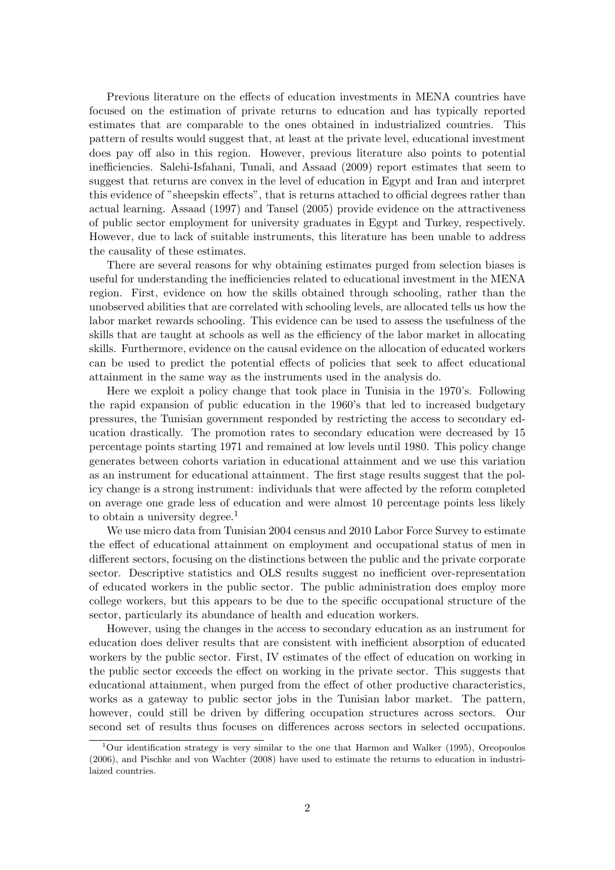Previous literature on the effects of education investments in MENA countries have focused on the estimation of private returns to education and has typically reported estimates that are comparable to the ones obtained in industrialized countries. This pattern of results would suggest that, at least at the private level, educational investment does pay off also in this region. However, previous literature also points to potential inefficiencies. Salehi-Isfahani, Tunali, and Assaad (2009) report estimates that seem to suggest that returns are convex in the level of education in Egypt and Iran and interpret this evidence of "sheepskin effects", that is returns attached to official degrees rather than actual learning. Assaad (1997) and Tansel (2005) provide evidence on the attractiveness of public sector employment for university graduates in Egypt and Turkey, respectively. However, due to lack of suitable instruments, this literature has been unable to address the causality of these estimates.

There are several reasons for why obtaining estimates purged from selection biases is useful for understanding the inefficiencies related to educational investment in the MENA region. First, evidence on how the skills obtained through schooling, rather than the unobserved abilities that are correlated with schooling levels, are allocated tells us how the labor market rewards schooling. This evidence can be used to assess the usefulness of the skills that are taught at schools as well as the efficiency of the labor market in allocating skills. Furthermore, evidence on the causal evidence on the allocation of educated workers can be used to predict the potential effects of policies that seek to affect educational attainment in the same way as the instruments used in the analysis do.

Here we exploit a policy change that took place in Tunisia in the 1970's. Following the rapid expansion of public education in the 1960's that led to increased budgetary pressures, the Tunisian government responded by restricting the access to secondary education drastically. The promotion rates to secondary education were decreased by 15 percentage points starting 1971 and remained at low levels until 1980. This policy change generates between cohorts variation in educational attainment and we use this variation as an instrument for educational attainment. The first stage results suggest that the policy change is a strong instrument: individuals that were affected by the reform completed on average one grade less of education and were almost 10 percentage points less likely to obtain a university degree.<sup>1</sup>

We use micro data from Tunisian 2004 census and 2010 Labor Force Survey to estimate the effect of educational attainment on employment and occupational status of men in different sectors, focusing on the distinctions between the public and the private corporate sector. Descriptive statistics and OLS results suggest no inefficient over-representation of educated workers in the public sector. The public administration does employ more college workers, but this appears to be due to the specific occupational structure of the sector, particularly its abundance of health and education workers.

However, using the changes in the access to secondary education as an instrument for education does deliver results that are consistent with inefficient absorption of educated workers by the public sector. First, IV estimates of the effect of education on working in the public sector exceeds the effect on working in the private sector. This suggests that educational attainment, when purged from the effect of other productive characteristics, works as a gateway to public sector jobs in the Tunisian labor market. The pattern, however, could still be driven by differing occupation structures across sectors. Our second set of results thus focuses on differences across sectors in selected occupations.

<sup>&</sup>lt;sup>1</sup>Our identification strategy is very similar to the one that Harmon and Walker (1995), Oreopoulos (2006), and Pischke and von Wachter (2008) have used to estimate the returns to education in industrilaized countries.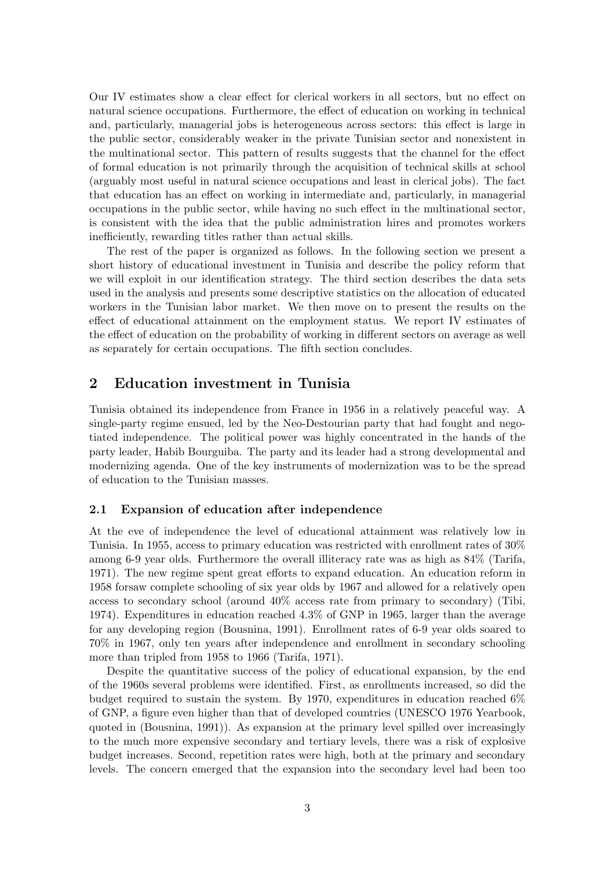Our IV estimates show a clear effect for clerical workers in all sectors, but no effect on natural science occupations. Furthermore, the effect of education on working in technical and, particularly, managerial jobs is heterogeneous across sectors: this effect is large in the public sector, considerably weaker in the private Tunisian sector and nonexistent in the multinational sector. This pattern of results suggests that the channel for the effect of formal education is not primarily through the acquisition of technical skills at school (arguably most useful in natural science occupations and least in clerical jobs). The fact that education has an effect on working in intermediate and, particularly, in managerial occupations in the public sector, while having no such effect in the multinational sector, is consistent with the idea that the public administration hires and promotes workers inefficiently, rewarding titles rather than actual skills.

The rest of the paper is organized as follows. In the following section we present a short history of educational investment in Tunisia and describe the policy reform that we will exploit in our identification strategy. The third section describes the data sets used in the analysis and presents some descriptive statistics on the allocation of educated workers in the Tunisian labor market. We then move on to present the results on the effect of educational attainment on the employment status. We report IV estimates of the effect of education on the probability of working in different sectors on average as well as separately for certain occupations. The fifth section concludes.

# 2 Education investment in Tunisia

Tunisia obtained its independence from France in 1956 in a relatively peaceful way. A single-party regime ensued, led by the Neo-Destourian party that had fought and negotiated independence. The political power was highly concentrated in the hands of the party leader, Habib Bourguiba. The party and its leader had a strong developmental and modernizing agenda. One of the key instruments of modernization was to be the spread of education to the Tunisian masses.

### 2.1 Expansion of education after independence

At the eve of independence the level of educational attainment was relatively low in Tunisia. In 1955, access to primary education was restricted with enrollment rates of 30% among 6-9 year olds. Furthermore the overall illiteracy rate was as high as 84% (Tarifa, 1971). The new regime spent great efforts to expand education. An education reform in 1958 forsaw complete schooling of six year olds by 1967 and allowed for a relatively open access to secondary school (around 40% access rate from primary to secondary) (Tibi, 1974). Expenditures in education reached 4.3% of GNP in 1965, larger than the average for any developing region (Bousnina, 1991). Enrollment rates of 6-9 year olds soared to 70% in 1967, only ten years after independence and enrollment in secondary schooling more than tripled from 1958 to 1966 (Tarifa, 1971).

Despite the quantitative success of the policy of educational expansion, by the end of the 1960s several problems were identified. First, as enrollments increased, so did the budget required to sustain the system. By 1970, expenditures in education reached 6% of GNP, a figure even higher than that of developed countries (UNESCO 1976 Yearbook, quoted in (Bousnina, 1991)). As expansion at the primary level spilled over increasingly to the much more expensive secondary and tertiary levels, there was a risk of explosive budget increases. Second, repetition rates were high, both at the primary and secondary levels. The concern emerged that the expansion into the secondary level had been too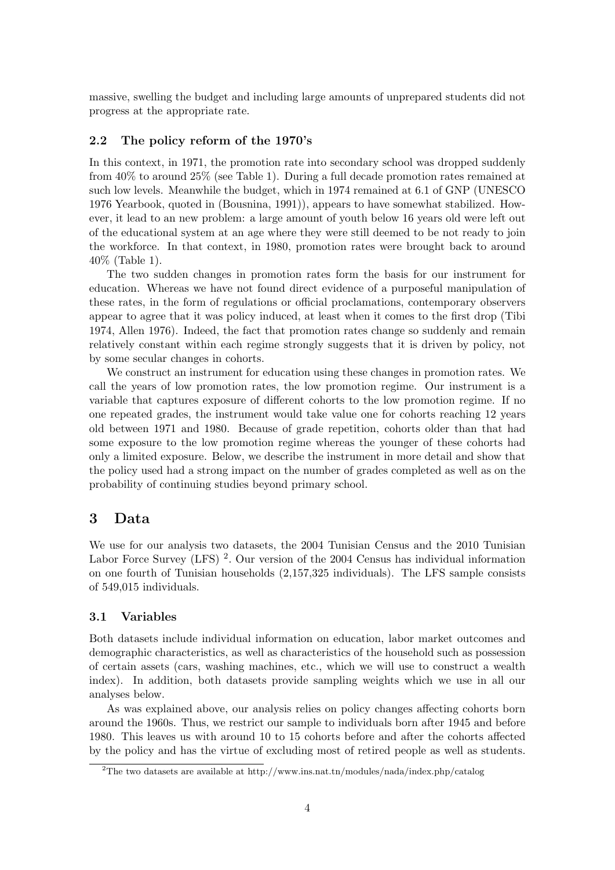massive, swelling the budget and including large amounts of unprepared students did not progress at the appropriate rate.

## 2.2 The policy reform of the 1970's

In this context, in 1971, the promotion rate into secondary school was dropped suddenly from 40% to around 25% (see Table 1). During a full decade promotion rates remained at such low levels. Meanwhile the budget, which in 1974 remained at 6.1 of GNP (UNESCO 1976 Yearbook, quoted in (Bousnina, 1991)), appears to have somewhat stabilized. However, it lead to an new problem: a large amount of youth below 16 years old were left out of the educational system at an age where they were still deemed to be not ready to join the workforce. In that context, in 1980, promotion rates were brought back to around 40% (Table 1).

The two sudden changes in promotion rates form the basis for our instrument for education. Whereas we have not found direct evidence of a purposeful manipulation of these rates, in the form of regulations or official proclamations, contemporary observers appear to agree that it was policy induced, at least when it comes to the first drop (Tibi 1974, Allen 1976). Indeed, the fact that promotion rates change so suddenly and remain relatively constant within each regime strongly suggests that it is driven by policy, not by some secular changes in cohorts.

We construct an instrument for education using these changes in promotion rates. We call the years of low promotion rates, the low promotion regime. Our instrument is a variable that captures exposure of different cohorts to the low promotion regime. If no one repeated grades, the instrument would take value one for cohorts reaching 12 years old between 1971 and 1980. Because of grade repetition, cohorts older than that had some exposure to the low promotion regime whereas the younger of these cohorts had only a limited exposure. Below, we describe the instrument in more detail and show that the policy used had a strong impact on the number of grades completed as well as on the probability of continuing studies beyond primary school.

# 3 Data

We use for our analysis two datasets, the 2004 Tunisian Census and the 2010 Tunisian Labor Force Survey (LFS)<sup>2</sup>. Our version of the 2004 Census has individual information on one fourth of Tunisian households (2,157,325 individuals). The LFS sample consists of 549,015 individuals.

## 3.1 Variables

Both datasets include individual information on education, labor market outcomes and demographic characteristics, as well as characteristics of the household such as possession of certain assets (cars, washing machines, etc., which we will use to construct a wealth index). In addition, both datasets provide sampling weights which we use in all our analyses below.

As was explained above, our analysis relies on policy changes affecting cohorts born around the 1960s. Thus, we restrict our sample to individuals born after 1945 and before 1980. This leaves us with around 10 to 15 cohorts before and after the cohorts affected by the policy and has the virtue of excluding most of retired people as well as students.

<sup>&</sup>lt;sup>2</sup>The two datasets are available at http://www.ins.nat.tn/modules/nada/index.php/catalog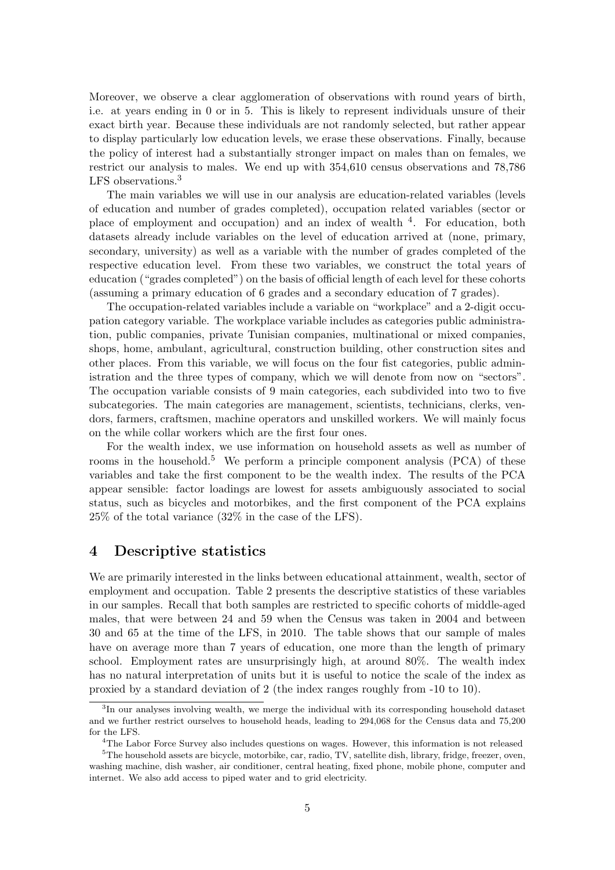Moreover, we observe a clear agglomeration of observations with round years of birth, i.e. at years ending in 0 or in 5. This is likely to represent individuals unsure of their exact birth year. Because these individuals are not randomly selected, but rather appear to display particularly low education levels, we erase these observations. Finally, because the policy of interest had a substantially stronger impact on males than on females, we restrict our analysis to males. We end up with 354,610 census observations and 78,786 LFS observations.<sup>3</sup>

The main variables we will use in our analysis are education-related variables (levels of education and number of grades completed), occupation related variables (sector or place of employment and occupation) and an index of wealth<sup>4</sup>. For education, both datasets already include variables on the level of education arrived at (none, primary, secondary, university) as well as a variable with the number of grades completed of the respective education level. From these two variables, we construct the total years of education ("grades completed") on the basis of official length of each level for these cohorts (assuming a primary education of 6 grades and a secondary education of 7 grades).

The occupation-related variables include a variable on "workplace" and a 2-digit occupation category variable. The workplace variable includes as categories public administration, public companies, private Tunisian companies, multinational or mixed companies, shops, home, ambulant, agricultural, construction building, other construction sites and other places. From this variable, we will focus on the four fist categories, public administration and the three types of company, which we will denote from now on "sectors". The occupation variable consists of 9 main categories, each subdivided into two to five subcategories. The main categories are management, scientists, technicians, clerks, vendors, farmers, craftsmen, machine operators and unskilled workers. We will mainly focus on the while collar workers which are the first four ones.

For the wealth index, we use information on household assets as well as number of rooms in the household.<sup>5</sup> We perform a principle component analysis  $(PCA)$  of these variables and take the first component to be the wealth index. The results of the PCA appear sensible: factor loadings are lowest for assets ambiguously associated to social status, such as bicycles and motorbikes, and the first component of the PCA explains 25% of the total variance (32% in the case of the LFS).

## 4 Descriptive statistics

We are primarily interested in the links between educational attainment, wealth, sector of employment and occupation. Table 2 presents the descriptive statistics of these variables in our samples. Recall that both samples are restricted to specific cohorts of middle-aged males, that were between 24 and 59 when the Census was taken in 2004 and between 30 and 65 at the time of the LFS, in 2010. The table shows that our sample of males have on average more than 7 years of education, one more than the length of primary school. Employment rates are unsurprisingly high, at around 80%. The wealth index has no natural interpretation of units but it is useful to notice the scale of the index as proxied by a standard deviation of 2 (the index ranges roughly from -10 to 10).

<sup>&</sup>lt;sup>3</sup>In our analyses involving wealth, we merge the individual with its corresponding household dataset and we further restrict ourselves to household heads, leading to 294,068 for the Census data and 75,200 for the LFS.

<sup>4</sup>The Labor Force Survey also includes questions on wages. However, this information is not released

<sup>&</sup>lt;sup>5</sup>The household assets are bicycle, motorbike, car, radio, TV, satellite dish, library, fridge, freezer, oven, washing machine, dish washer, air conditioner, central heating, fixed phone, mobile phone, computer and internet. We also add access to piped water and to grid electricity.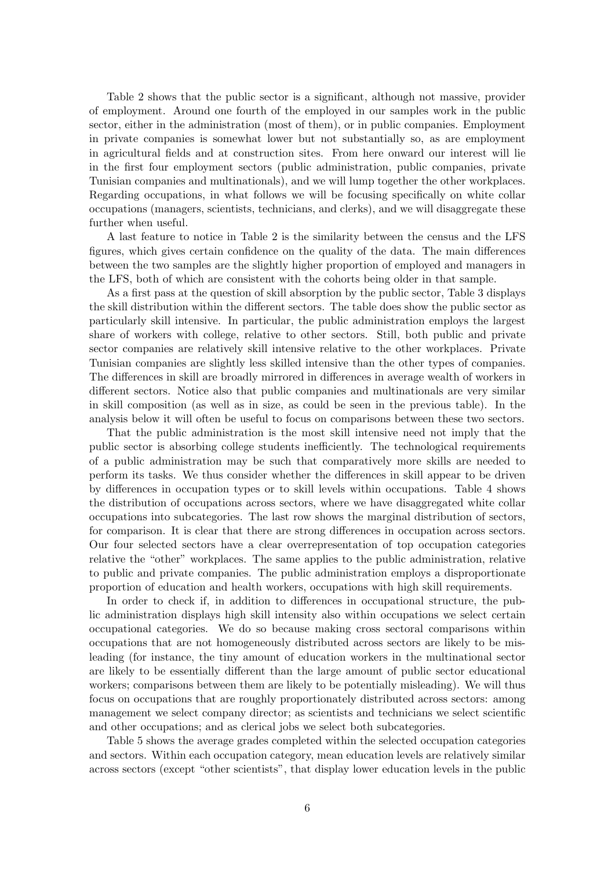Table 2 shows that the public sector is a significant, although not massive, provider of employment. Around one fourth of the employed in our samples work in the public sector, either in the administration (most of them), or in public companies. Employment in private companies is somewhat lower but not substantially so, as are employment in agricultural fields and at construction sites. From here onward our interest will lie in the first four employment sectors (public administration, public companies, private Tunisian companies and multinationals), and we will lump together the other workplaces. Regarding occupations, in what follows we will be focusing specifically on white collar occupations (managers, scientists, technicians, and clerks), and we will disaggregate these further when useful.

A last feature to notice in Table 2 is the similarity between the census and the LFS figures, which gives certain confidence on the quality of the data. The main differences between the two samples are the slightly higher proportion of employed and managers in the LFS, both of which are consistent with the cohorts being older in that sample.

As a first pass at the question of skill absorption by the public sector, Table 3 displays the skill distribution within the different sectors. The table does show the public sector as particularly skill intensive. In particular, the public administration employs the largest share of workers with college, relative to other sectors. Still, both public and private sector companies are relatively skill intensive relative to the other workplaces. Private Tunisian companies are slightly less skilled intensive than the other types of companies. The differences in skill are broadly mirrored in differences in average wealth of workers in different sectors. Notice also that public companies and multinationals are very similar in skill composition (as well as in size, as could be seen in the previous table). In the analysis below it will often be useful to focus on comparisons between these two sectors.

That the public administration is the most skill intensive need not imply that the public sector is absorbing college students inefficiently. The technological requirements of a public administration may be such that comparatively more skills are needed to perform its tasks. We thus consider whether the differences in skill appear to be driven by differences in occupation types or to skill levels within occupations. Table 4 shows the distribution of occupations across sectors, where we have disaggregated white collar occupations into subcategories. The last row shows the marginal distribution of sectors, for comparison. It is clear that there are strong differences in occupation across sectors. Our four selected sectors have a clear overrepresentation of top occupation categories relative the "other" workplaces. The same applies to the public administration, relative to public and private companies. The public administration employs a disproportionate proportion of education and health workers, occupations with high skill requirements.

In order to check if, in addition to differences in occupational structure, the public administration displays high skill intensity also within occupations we select certain occupational categories. We do so because making cross sectoral comparisons within occupations that are not homogeneously distributed across sectors are likely to be misleading (for instance, the tiny amount of education workers in the multinational sector are likely to be essentially different than the large amount of public sector educational workers; comparisons between them are likely to be potentially misleading). We will thus focus on occupations that are roughly proportionately distributed across sectors: among management we select company director; as scientists and technicians we select scientific and other occupations; and as clerical jobs we select both subcategories.

Table 5 shows the average grades completed within the selected occupation categories and sectors. Within each occupation category, mean education levels are relatively similar across sectors (except "other scientists", that display lower education levels in the public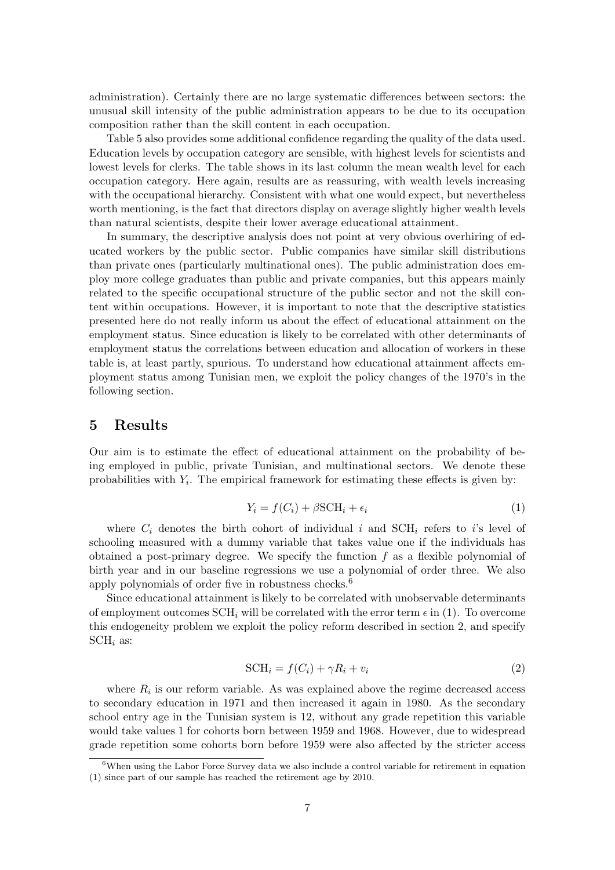administration). Certainly there are no large systematic differences between sectors: the unusual skill intensity of the public administration appears to be due to its occupation composition rather than the skill content in each occupation.

Table 5 also provides some additional confidence regarding the quality of the data used. Education levels by occupation category are sensible, with highest levels for scientists and lowest levels for clerks. The table shows in its last column the mean wealth level for each occupation category. Here again, results are as reassuring, with wealth levels increasing with the occupational hierarchy. Consistent with what one would expect, but nevertheless worth mentioning, is the fact that directors display on average slightly higher wealth levels than natural scientists, despite their lower average educational attainment.

In summary, the descriptive analysis does not point at very obvious overhiring of educated workers by the public sector. Public companies have similar skill distributions than private ones (particularly multinational ones). The public administration does employ more college graduates than public and private companies, but this appears mainly related to the specific occupational structure of the public sector and not the skill content within occupations. However, it is important to note that the descriptive statistics presented here do not really inform us about the effect of educational attainment on the employment status. Since education is likely to be correlated with other determinants of employment status the correlations between education and allocation of workers in these table is, at least partly, spurious. To understand how educational attainment affects employment status among Tunisian men, we exploit the policy changes of the 1970's in the following section.

## 5 Results

Our aim is to estimate the effect of educational attainment on the probability of being employed in public, private Tunisian, and multinational sectors. We denote these probabilities with  $Y_i$ . The empirical framework for estimating these effects is given by:

$$
Y_i = f(C_i) + \beta \text{SCH}_i + \epsilon_i \tag{1}
$$

where  $C_i$  denotes the birth cohort of individual i and SCH<sub>i</sub> refers to i's level of schooling measured with a dummy variable that takes value one if the individuals has obtained a post-primary degree. We specify the function  $f$  as a flexible polynomial of birth year and in our baseline regressions we use a polynomial of order three. We also apply polynomials of order five in robustness checks.<sup>6</sup>

Since educational attainment is likely to be correlated with unobservable determinants of employment outcomes  $\text{SCH}_i$  will be correlated with the error term  $\epsilon$  in (1). To overcome this endogeneity problem we exploit the policy reform described in section 2, and specify  $SCH<sub>i</sub>$  as:

$$
SCHi = f(Ci) + \gamma Ri + vi
$$
\n(2)

where  $R_i$  is our reform variable. As was explained above the regime decreased access to secondary education in 1971 and then increased it again in 1980. As the secondary school entry age in the Tunisian system is 12, without any grade repetition this variable would take values 1 for cohorts born between 1959 and 1968. However, due to widespread grade repetition some cohorts born before 1959 were also affected by the stricter access

 $6$ When using the Labor Force Survey data we also include a control variable for retirement in equation (1) since part of our sample has reached the retirement age by 2010.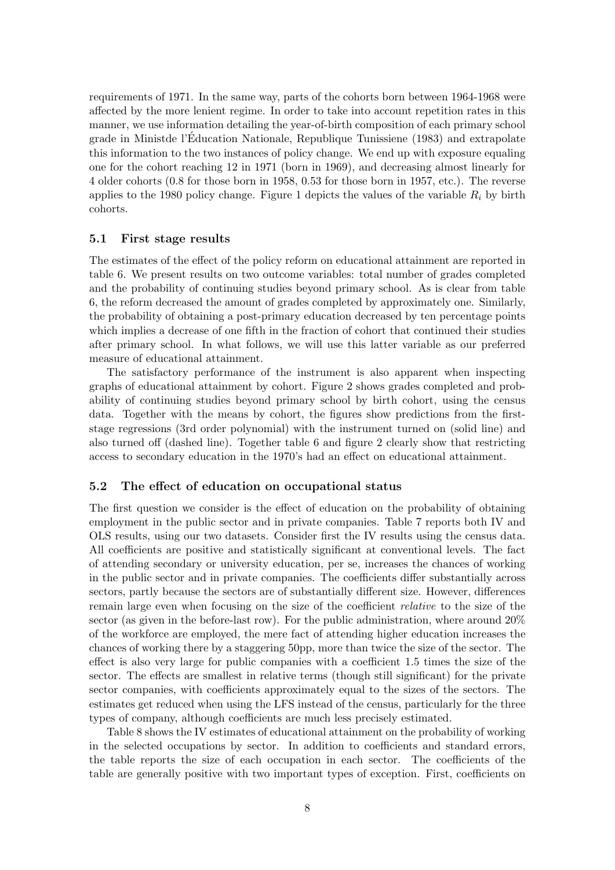requirements of 1971. In the same way, parts of the cohorts born between 1964-1968 were affected by the more lenient regime. In order to take into account repetition rates in this manner, we use information detailing the year-of-birth composition of each primary school grade in Ministde l'Education Nationale, Republique Tunissiene (1983) and extrapolate ´ this information to the two instances of policy change. We end up with exposure equaling one for the cohort reaching 12 in 1971 (born in 1969), and decreasing almost linearly for 4 older cohorts (0.8 for those born in 1958, 0.53 for those born in 1957, etc.). The reverse applies to the 1980 policy change. Figure 1 depicts the values of the variable  $R_i$  by birth cohorts.

#### 5.1 First stage results

The estimates of the effect of the policy reform on educational attainment are reported in table 6. We present results on two outcome variables: total number of grades completed and the probability of continuing studies beyond primary school. As is clear from table 6, the reform decreased the amount of grades completed by approximately one. Similarly, the probability of obtaining a post-primary education decreased by ten percentage points which implies a decrease of one fifth in the fraction of cohort that continued their studies after primary school. In what follows, we will use this latter variable as our preferred measure of educational attainment.

The satisfactory performance of the instrument is also apparent when inspecting graphs of educational attainment by cohort. Figure 2 shows grades completed and probability of continuing studies beyond primary school by birth cohort, using the census data. Together with the means by cohort, the figures show predictions from the firststage regressions (3rd order polynomial) with the instrument turned on (solid line) and also turned off (dashed line). Together table 6 and figure 2 clearly show that restricting access to secondary education in the 1970's had an effect on educational attainment.

#### 5.2 The effect of education on occupational status

The first question we consider is the effect of education on the probability of obtaining employment in the public sector and in private companies. Table 7 reports both IV and OLS results, using our two datasets. Consider first the IV results using the census data. All coefficients are positive and statistically significant at conventional levels. The fact of attending secondary or university education, per se, increases the chances of working in the public sector and in private companies. The coefficients differ substantially across sectors, partly because the sectors are of substantially different size. However, differences remain large even when focusing on the size of the coefficient relative to the size of the sector (as given in the before-last row). For the public administration, where around 20% of the workforce are employed, the mere fact of attending higher education increases the chances of working there by a staggering 50pp, more than twice the size of the sector. The effect is also very large for public companies with a coefficient 1.5 times the size of the sector. The effects are smallest in relative terms (though still significant) for the private sector companies, with coefficients approximately equal to the sizes of the sectors. The estimates get reduced when using the LFS instead of the census, particularly for the three types of company, although coefficients are much less precisely estimated.

Table 8 shows the IV estimates of educational attainment on the probability of working in the selected occupations by sector. In addition to coefficients and standard errors, the table reports the size of each occupation in each sector. The coefficients of the table are generally positive with two important types of exception. First, coefficients on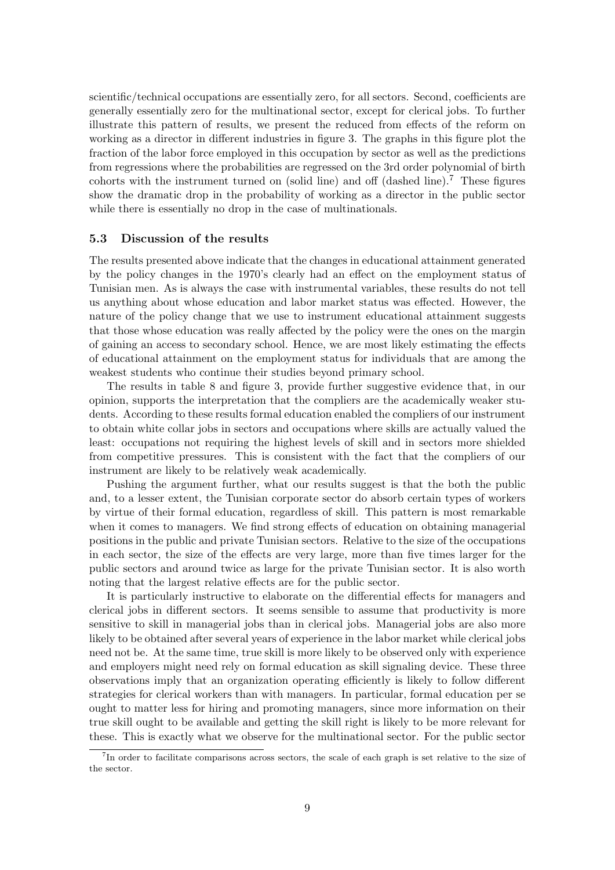scientific/technical occupations are essentially zero, for all sectors. Second, coefficients are generally essentially zero for the multinational sector, except for clerical jobs. To further illustrate this pattern of results, we present the reduced from effects of the reform on working as a director in different industries in figure 3. The graphs in this figure plot the fraction of the labor force employed in this occupation by sector as well as the predictions from regressions where the probabilities are regressed on the 3rd order polynomial of birth cohorts with the instrument turned on (solid line) and off (dashed line).<sup>7</sup> These figures show the dramatic drop in the probability of working as a director in the public sector while there is essentially no drop in the case of multinationals.

#### 5.3 Discussion of the results

The results presented above indicate that the changes in educational attainment generated by the policy changes in the 1970's clearly had an effect on the employment status of Tunisian men. As is always the case with instrumental variables, these results do not tell us anything about whose education and labor market status was effected. However, the nature of the policy change that we use to instrument educational attainment suggests that those whose education was really affected by the policy were the ones on the margin of gaining an access to secondary school. Hence, we are most likely estimating the effects of educational attainment on the employment status for individuals that are among the weakest students who continue their studies beyond primary school.

The results in table 8 and figure 3, provide further suggestive evidence that, in our opinion, supports the interpretation that the compliers are the academically weaker students. According to these results formal education enabled the compliers of our instrument to obtain white collar jobs in sectors and occupations where skills are actually valued the least: occupations not requiring the highest levels of skill and in sectors more shielded from competitive pressures. This is consistent with the fact that the compliers of our instrument are likely to be relatively weak academically.

Pushing the argument further, what our results suggest is that the both the public and, to a lesser extent, the Tunisian corporate sector do absorb certain types of workers by virtue of their formal education, regardless of skill. This pattern is most remarkable when it comes to managers. We find strong effects of education on obtaining managerial positions in the public and private Tunisian sectors. Relative to the size of the occupations in each sector, the size of the effects are very large, more than five times larger for the public sectors and around twice as large for the private Tunisian sector. It is also worth noting that the largest relative effects are for the public sector.

It is particularly instructive to elaborate on the differential effects for managers and clerical jobs in different sectors. It seems sensible to assume that productivity is more sensitive to skill in managerial jobs than in clerical jobs. Managerial jobs are also more likely to be obtained after several years of experience in the labor market while clerical jobs need not be. At the same time, true skill is more likely to be observed only with experience and employers might need rely on formal education as skill signaling device. These three observations imply that an organization operating efficiently is likely to follow different strategies for clerical workers than with managers. In particular, formal education per se ought to matter less for hiring and promoting managers, since more information on their true skill ought to be available and getting the skill right is likely to be more relevant for these. This is exactly what we observe for the multinational sector. For the public sector

<sup>&</sup>lt;sup>7</sup>In order to facilitate comparisons across sectors, the scale of each graph is set relative to the size of the sector.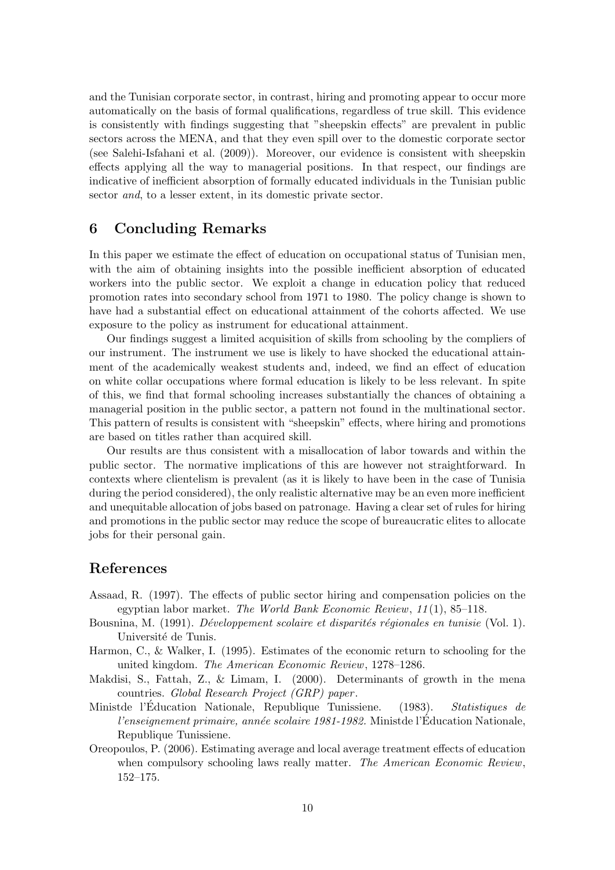and the Tunisian corporate sector, in contrast, hiring and promoting appear to occur more automatically on the basis of formal qualifications, regardless of true skill. This evidence is consistently with findings suggesting that "sheepskin effects" are prevalent in public sectors across the MENA, and that they even spill over to the domestic corporate sector (see Salehi-Isfahani et al. (2009)). Moreover, our evidence is consistent with sheepskin effects applying all the way to managerial positions. In that respect, our findings are indicative of inefficient absorption of formally educated individuals in the Tunisian public sector *and*, to a lesser extent, in its domestic private sector.

# 6 Concluding Remarks

In this paper we estimate the effect of education on occupational status of Tunisian men, with the aim of obtaining insights into the possible inefficient absorption of educated workers into the public sector. We exploit a change in education policy that reduced promotion rates into secondary school from 1971 to 1980. The policy change is shown to have had a substantial effect on educational attainment of the cohorts affected. We use exposure to the policy as instrument for educational attainment.

Our findings suggest a limited acquisition of skills from schooling by the compliers of our instrument. The instrument we use is likely to have shocked the educational attainment of the academically weakest students and, indeed, we find an effect of education on white collar occupations where formal education is likely to be less relevant. In spite of this, we find that formal schooling increases substantially the chances of obtaining a managerial position in the public sector, a pattern not found in the multinational sector. This pattern of results is consistent with "sheepskin" effects, where hiring and promotions are based on titles rather than acquired skill.

Our results are thus consistent with a misallocation of labor towards and within the public sector. The normative implications of this are however not straightforward. In contexts where clientelism is prevalent (as it is likely to have been in the case of Tunisia during the period considered), the only realistic alternative may be an even more inefficient and unequitable allocation of jobs based on patronage. Having a clear set of rules for hiring and promotions in the public sector may reduce the scope of bureaucratic elites to allocate jobs for their personal gain.

# References

- Assaad, R. (1997). The effects of public sector hiring and compensation policies on the egyptian labor market. The World Bank Economic Review, 11 (1), 85–118.
- Bousnina, M. (1991). *Développement scolaire et disparités régionales en tunisie* (Vol. 1). Université de Tunis.
- Harmon, C., & Walker, I. (1995). Estimates of the economic return to schooling for the united kingdom. The American Economic Review, 1278–1286.
- Makdisi, S., Fattah, Z., & Limam, I. (2000). Determinants of growth in the mena countries. Global Research Project (GRP) paper .
- Ministde l'Éducation Nationale, Republique Tunissiene. (1983). Statistiques de l'enseignement primaire, année scolaire 1981-1982. Ministde l'Éducation Nationale, Republique Tunissiene.
- Oreopoulos, P. (2006). Estimating average and local average treatment effects of education when compulsory schooling laws really matter. The American Economic Review, 152–175.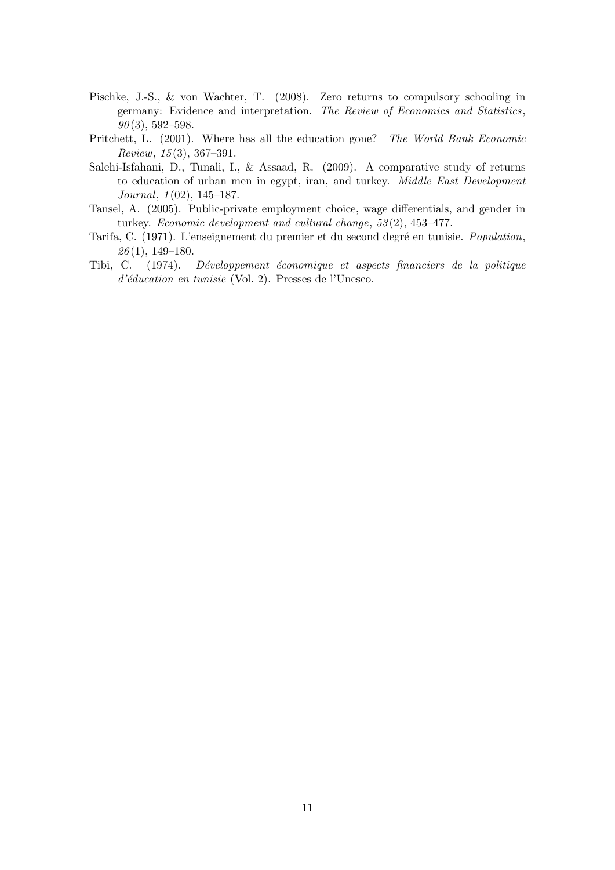- Pischke, J.-S., & von Wachter, T. (2008). Zero returns to compulsory schooling in germany: Evidence and interpretation. The Review of Economics and Statistics,  $90(3)$ , 592–598.
- Pritchett, L. (2001). Where has all the education gone? The World Bank Economic  $Review, 15(3), 367-391.$
- Salehi-Isfahani, D., Tunali, I., & Assaad, R. (2009). A comparative study of returns to education of urban men in egypt, iran, and turkey. Middle East Development Journal, 1 (02), 145–187.
- Tansel, A. (2005). Public-private employment choice, wage differentials, and gender in turkey. Economic development and cultural change, 53 (2), 453–477.
- Tarifa, C. (1971). L'enseignement du premier et du second degré en tunisie. Population,  $26(1), 149-180.$
- Tibi, C. (1974). Développement économique et aspects financiers de la politique  $d'éducation en tunisie$  (Vol. 2). Presses de l'Unesco.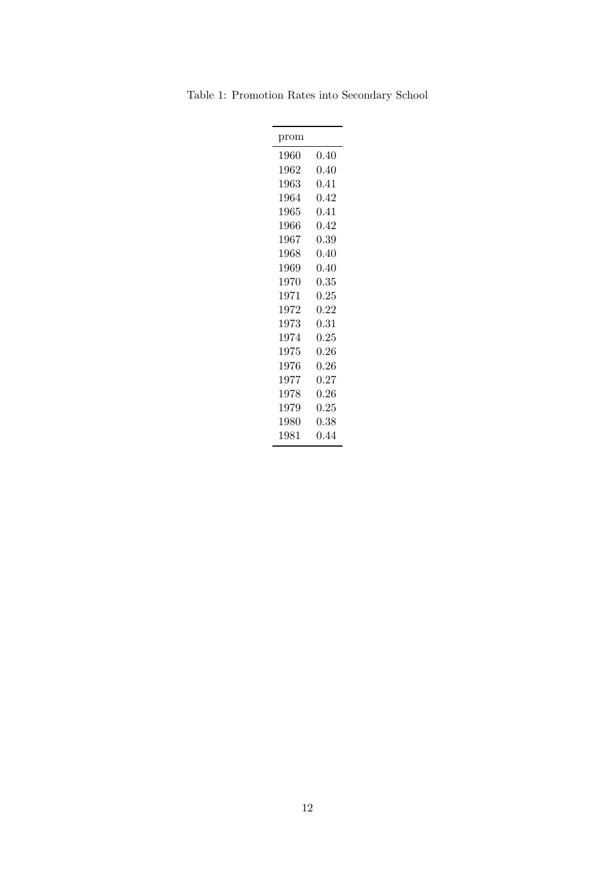Table 1: Promotion Rates into Secondary School

| 0.40       |
|------------|
| 0.40       |
| 0.41       |
| 0.42       |
| $\rm 0.41$ |
| 0.42       |
| 0.39       |
| 0.40       |
| 0.40       |
| 0.35       |
| 0.25       |
| 0.22       |
| 0.31       |
| 0.25       |
| 0.26       |
| 0.26       |
| 0.27       |
| 0.26       |
| 0.25       |
| 0.38       |
| 0.44       |
|            |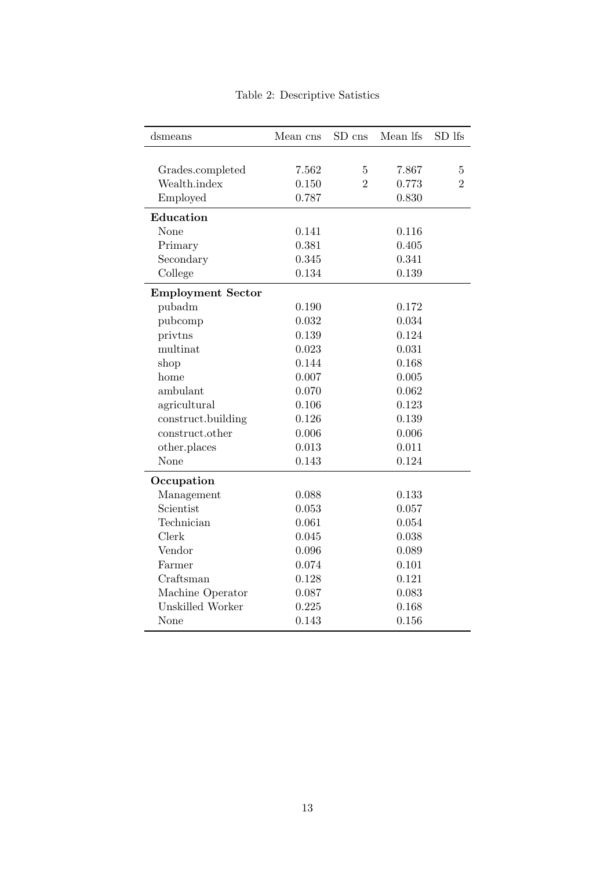| dsmeans                  | Mean cns | SD cns         | Mean lfs | SD lfs         |
|--------------------------|----------|----------------|----------|----------------|
|                          |          |                |          |                |
| Grades.completed         | 7.562    | $\bf 5$        | 7.867    | $\overline{5}$ |
| Wealth.index             | 0.150    | $\overline{2}$ | 0.773    | $\overline{2}$ |
| Employed                 | 0.787    |                | 0.830    |                |
| Education                |          |                |          |                |
| None                     | 0.141    |                | 0.116    |                |
| Primary                  | 0.381    |                | 0.405    |                |
| Secondary                | 0.345    |                | 0.341    |                |
| College                  | 0.134    |                | 0.139    |                |
| <b>Employment Sector</b> |          |                |          |                |
| pubadm                   | 0.190    |                | 0.172    |                |
| pubcomp                  | 0.032    |                | 0.034    |                |
| privtns                  | 0.139    |                | 0.124    |                |
| multinat                 | 0.023    |                | 0.031    |                |
| shop                     | 0.144    |                | 0.168    |                |
| home                     | 0.007    |                | 0.005    |                |
| ambulant                 | 0.070    |                | 0.062    |                |
| agricultural             | 0.106    |                | 0.123    |                |
| construct.building       | 0.126    |                | 0.139    |                |
| construct.other          | 0.006    |                | 0.006    |                |
| other.places             | 0.013    |                | 0.011    |                |
| None                     | 0.143    |                | 0.124    |                |
| Occupation               |          |                |          |                |
| Management               | 0.088    |                | 0.133    |                |
| Scientist                | 0.053    |                | 0.057    |                |
| Technician               | 0.061    |                | 0.054    |                |
| Clerk                    | 0.045    |                | 0.038    |                |
| Vendor                   | 0.096    |                | 0.089    |                |
| Farmer                   | 0.074    |                | 0.101    |                |
| Craftsman                | 0.128    |                | 0.121    |                |
| Machine Operator         | 0.087    |                | 0.083    |                |
| Unskilled Worker         | 0.225    |                | 0.168    |                |
| None                     | 0.143    |                | 0.156    |                |

Table 2: Descriptive Satistics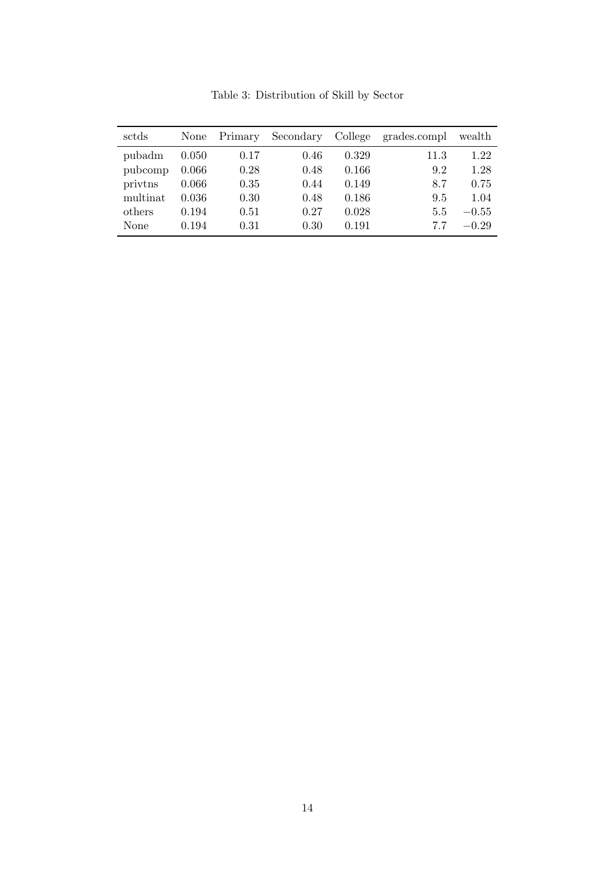| sctds    | None  | Primary | Secondary | College | grades.compl | wealth  |
|----------|-------|---------|-----------|---------|--------------|---------|
| pubadm   | 0.050 | 0.17    | 0.46      | 0.329   | 11.3         | 1.22    |
| pubcomp  | 0.066 | 0.28    | 0.48      | 0.166   | 9.2          | 1.28    |
| privtns  | 0.066 | 0.35    | 0.44      | 0.149   | 8.7          | 0.75    |
| multinat | 0.036 | 0.30    | 0.48      | 0.186   | 9.5          | 1.04    |
| others   | 0.194 | 0.51    | 0.27      | 0.028   | 5.5          | $-0.55$ |
| None     | 0.194 | 0.31    | 0.30      | 0.191   | 77           | $-0.29$ |

Table 3: Distribution of Skill by Sector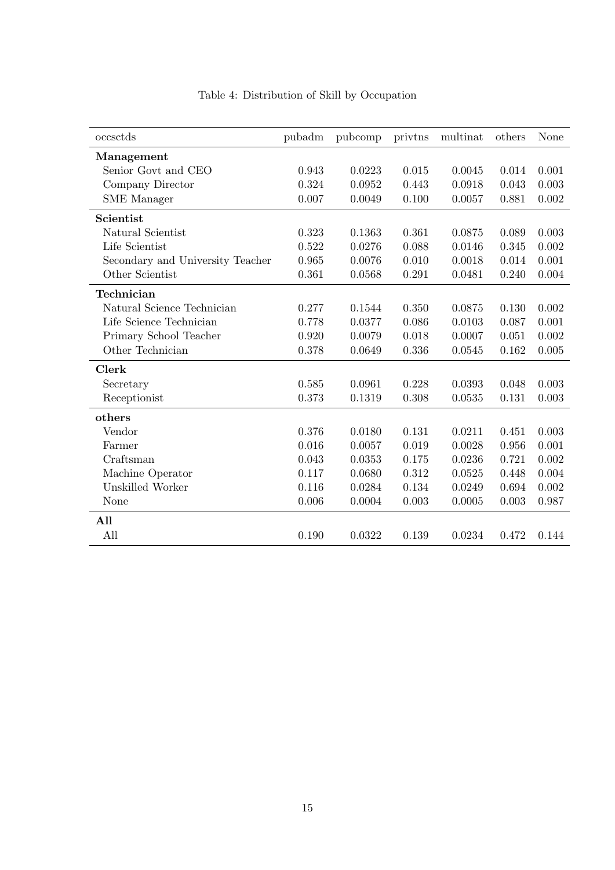| occsctds                         | pubadm | pubcomp | privtns | multinat | others | None  |
|----------------------------------|--------|---------|---------|----------|--------|-------|
| Management                       |        |         |         |          |        |       |
| Senior Govt and CEO              | 0.943  | 0.0223  | 0.015   | 0.0045   | 0.014  | 0.001 |
| Company Director                 | 0.324  | 0.0952  | 0.443   | 0.0918   | 0.043  | 0.003 |
| <b>SME</b> Manager               | 0.007  | 0.0049  | 0.100   | 0.0057   | 0.881  | 0.002 |
| Scientist                        |        |         |         |          |        |       |
| Natural Scientist                | 0.323  | 0.1363  | 0.361   | 0.0875   | 0.089  | 0.003 |
| Life Scientist                   | 0.522  | 0.0276  | 0.088   | 0.0146   | 0.345  | 0.002 |
| Secondary and University Teacher | 0.965  | 0.0076  | 0.010   | 0.0018   | 0.014  | 0.001 |
| Other Scientist                  | 0.361  | 0.0568  | 0.291   | 0.0481   | 0.240  | 0.004 |
| Technician                       |        |         |         |          |        |       |
| Natural Science Technician       | 0.277  | 0.1544  | 0.350   | 0.0875   | 0.130  | 0.002 |
| Life Science Technician          | 0.778  | 0.0377  | 0.086   | 0.0103   | 0.087  | 0.001 |
| Primary School Teacher           | 0.920  | 0.0079  | 0.018   | 0.0007   | 0.051  | 0.002 |
| Other Technician                 | 0.378  | 0.0649  | 0.336   | 0.0545   | 0.162  | 0.005 |
| <b>Clerk</b>                     |        |         |         |          |        |       |
| Secretary                        | 0.585  | 0.0961  | 0.228   | 0.0393   | 0.048  | 0.003 |
| Receptionist                     | 0.373  | 0.1319  | 0.308   | 0.0535   | 0.131  | 0.003 |
| others                           |        |         |         |          |        |       |
| Vendor                           | 0.376  | 0.0180  | 0.131   | 0.0211   | 0.451  | 0.003 |
| Farmer                           | 0.016  | 0.0057  | 0.019   | 0.0028   | 0.956  | 0.001 |
| Craftsman                        | 0.043  | 0.0353  | 0.175   | 0.0236   | 0.721  | 0.002 |
| Machine Operator                 | 0.117  | 0.0680  | 0.312   | 0.0525   | 0.448  | 0.004 |
| Unskilled Worker                 | 0.116  | 0.0284  | 0.134   | 0.0249   | 0.694  | 0.002 |
| None                             | 0.006  | 0.0004  | 0.003   | 0.0005   | 0.003  | 0.987 |
| All                              |        |         |         |          |        |       |
| All                              | 0.190  | 0.0322  | 0.139   | 0.0234   | 0.472  | 0.144 |

Table 4: Distribution of Skill by Occupation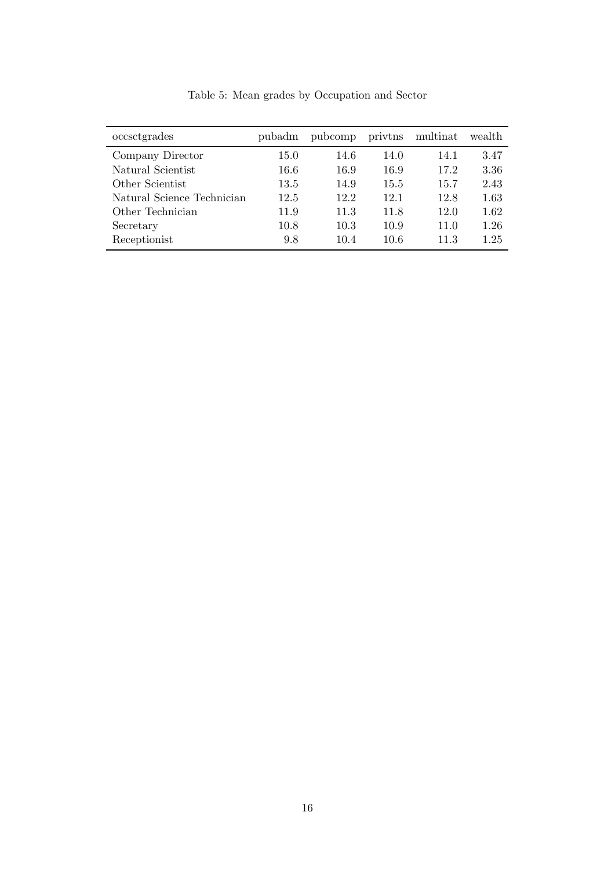| occsctgrades               | pubadm | pubcomp | privtns | multinat | wealth |
|----------------------------|--------|---------|---------|----------|--------|
| Company Director           | 15.0   | 14.6    | 14.0    | 14.1     | 3.47   |
| Natural Scientist          | 16.6   | 16.9    | 16.9    | 17.2     | 3.36   |
| Other Scientist            | 13.5   | 14.9    | 15.5    | 15.7     | 2.43   |
| Natural Science Technician | 12.5   | 12.2    | 12.1    | 12.8     | 1.63   |
| Other Technician           | 11.9   | 11.3    | 11.8    | 12.0     | 1.62   |
| Secretary                  | 10.8   | 10.3    | 10.9    | 11.0     | 1.26   |
| Receptionist               | 9.8    | 10.4    | 10.6    | 11.3     | 1.25   |

Table 5: Mean grades by Occupation and Sector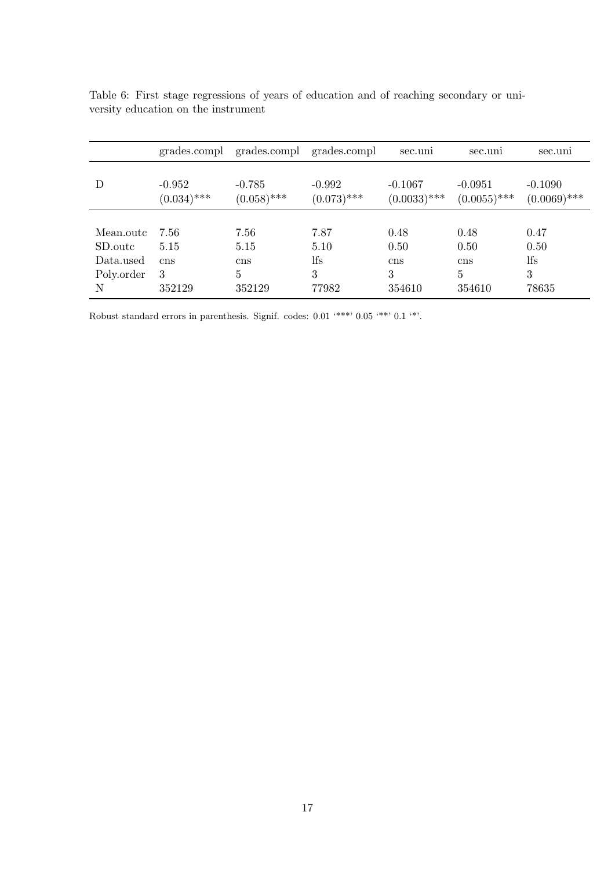|            | grades.compl              | grades.compl              | grades.compl              | sec.uni                     | sec.uni                     | sec.uni                     |
|------------|---------------------------|---------------------------|---------------------------|-----------------------------|-----------------------------|-----------------------------|
| D          | $-0.952$<br>$(0.034)$ *** | $-0.785$<br>$(0.058)$ *** | $-0.992$<br>$(0.073)$ *** | $-0.1067$<br>$(0.0033)$ *** | $-0.0951$<br>$(0.0055)$ *** | $-0.1090$<br>$(0.0069)$ *** |
|            |                           |                           |                           |                             |                             |                             |
| Mean.outc  | 7.56                      | 7.56                      | 7.87                      | 0.48                        | 0.48                        | 0.47                        |
| SD.outc    | 5.15                      | 5.15                      | 5.10                      | 0.50                        | 0.50                        | 0.50                        |
| Data.used  | cns                       | cns                       | lfs                       | cns                         | cns                         | lfs                         |
| Poly.order | 3                         | $\overline{5}$            | 3                         | 3                           | 5                           | 3                           |
| N          | 352129                    | 352129                    | 77982                     | 354610                      | 354610                      | 78635                       |

|  | Table 6: First stage regressions of years of education and of reaching secondary or uni- |  |  |  |  |  |
|--|------------------------------------------------------------------------------------------|--|--|--|--|--|
|  | versity education on the instrument                                                      |  |  |  |  |  |

Robust standard errors in parenthesis. Signif. codes: 0.01 '\*\*\*' 0.05 '\*\*' 0.1 '\*'.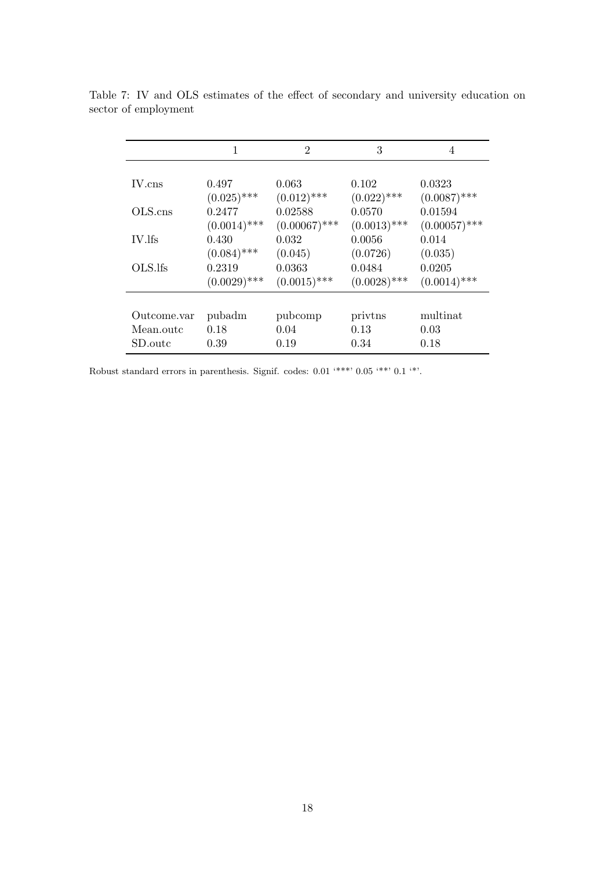|             | 1              | $\overline{2}$  | 3              | 4               |
|-------------|----------------|-----------------|----------------|-----------------|
|             |                |                 |                |                 |
| IV.cns      | 0.497          | 0.063           | 0.102          | 0.0323          |
|             | $(0.025)$ ***  | $(0.012)$ ***   | $(0.022)$ ***  | $(0.0087)$ ***  |
| OLS.cns     | 0.2477         | 0.02588         | 0.0570         | 0.01594         |
|             | $(0.0014)$ *** | $(0.00067)$ *** | $(0.0013)$ *** | $(0.00057)$ *** |
| IV.lfs      | 0.430          | 0.032           | 0.0056         | 0.014           |
|             | $(0.084)$ ***  | (0.045)         | (0.0726)       | (0.035)         |
| OLS.Ifs     | 0.2319         | 0.0363          | 0.0484         | 0.0205          |
|             | $(0.0029)$ *** | $(0.0015)$ ***  | $(0.0028)$ *** | $(0.0014)$ ***  |
|             |                |                 |                |                 |
| Outcome.var | pubadm         | pubcomp         | privtns        | multinat        |
| Mean.outc   | 0.18           | 0.04            | 0.13           | 0.03            |
| SD.outc     | 0.39           | 0.19            | 0.34           | 0.18            |

Table 7: IV and OLS estimates of the effect of secondary and university education on sector of employment

Robust standard errors in parenthesis. Signif. codes: 0.01 '\*\*\*' 0.05 '\*\*' 0.1 '\*'.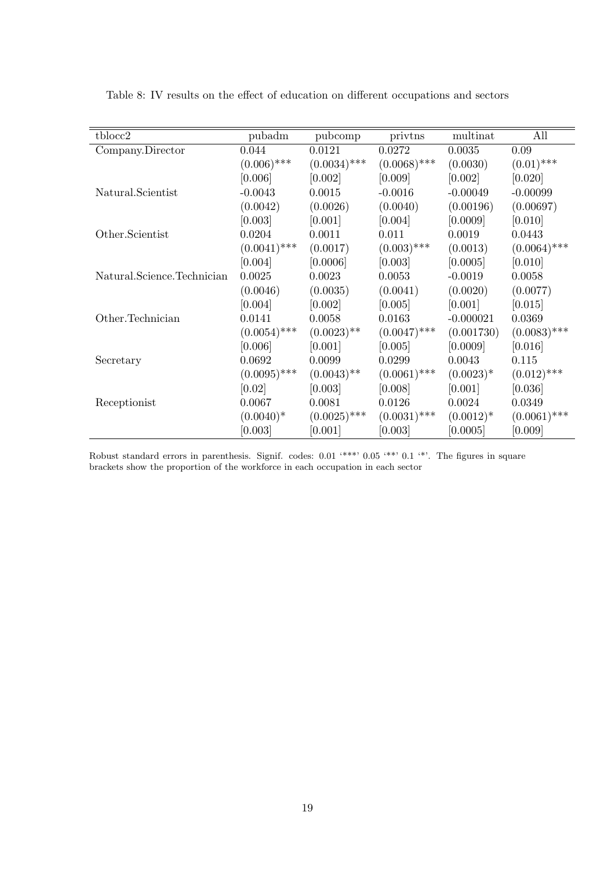| tblocc2                    | pubadm         | pubcomp        | privtns        | multinat     | All            |
|----------------------------|----------------|----------------|----------------|--------------|----------------|
| Company.Director           | 0.044          | 0.0121         | 0.0272         | 0.0035       | 0.09           |
|                            | $(0.006)$ ***  | $(0.0034)$ *** | $(0.0068)$ *** | (0.0030)     | $(0.01)$ ***   |
|                            | [0.006]        | [0.002]        | [0.009]        | [0.002]      | [0.020]        |
| Natural.Scientist          | $-0.0043$      | 0.0015         | $-0.0016$      | $-0.00049$   | $-0.00099$     |
|                            | (0.0042)       | (0.0026)       | (0.0040)       | (0.00196)    | (0.00697)      |
|                            | [0.003]        | [0.001]        | [0.004]        | [0.0009]     | [0.010]        |
| Other.Scientist            | 0.0204         | 0.0011         | 0.011          | 0.0019       | 0.0443         |
|                            | $(0.0041)$ *** | (0.0017)       | $(0.003)$ ***  | (0.0013)     | $(0.0064)$ *** |
|                            | [0.004]        | [0.0006]       | [0.003]        | [0.0005]     | [0.010]        |
| Natural.Science.Technician | 0.0025         | 0.0023         | 0.0053         | $-0.0019$    | 0.0058         |
|                            | (0.0046)       | (0.0035)       | (0.0041)       | (0.0020)     | (0.0077)       |
|                            | [0.004]        | [0.002]        | [0.005]        | [0.001]      | [0.015]        |
| Other.Technician           | 0.0141         | 0.0058         | 0.0163         | $-0.000021$  | 0.0369         |
|                            | $(0.0054)$ *** | $(0.0023)$ **  | $(0.0047)$ *** | (0.001730)   | $(0.0083)$ *** |
|                            | [0.006]        | [0.001]        | [0.005]        | [0.0009]     | [0.016]        |
| Secretary                  | 0.0692         | 0.0099         | 0.0299         | 0.0043       | 0.115          |
|                            | $(0.0095)$ *** | $(0.0043)$ **  | $(0.0061)$ *** | $(0.0023)^*$ | $(0.012)$ ***  |
|                            | [0.02]         | [0.003]        | [0.008]        | [0.001]      | [0.036]        |
| Receptionist               | 0.0067         | 0.0081         | 0.0126         | 0.0024       | 0.0349         |
|                            | $(0.0040)^*$   | $(0.0025)$ *** | $(0.0031)$ *** | $(0.0012)*$  | $(0.0061)$ *** |
|                            | [0.003]        | [0.001]        | [0.003]        | [0.0005]     | [0.009]        |

Table 8: IV results on the effect of education on different occupations and sectors

Robust standard errors in parenthesis. Signif. codes: 0.01 '\*\*\*' 0.05 '\*\*' 0.1 '\*'. The figures in square brackets show the proportion of the workforce in each occupation in each sector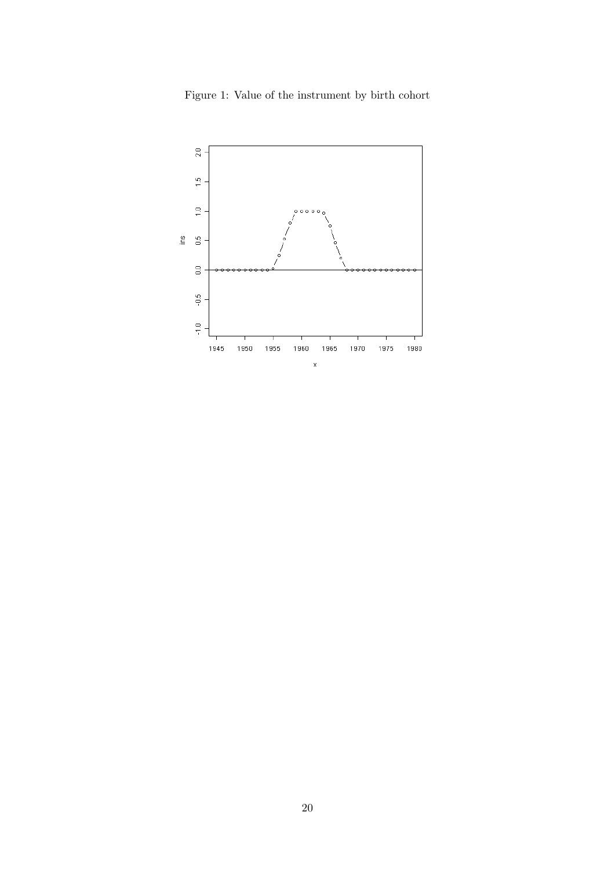

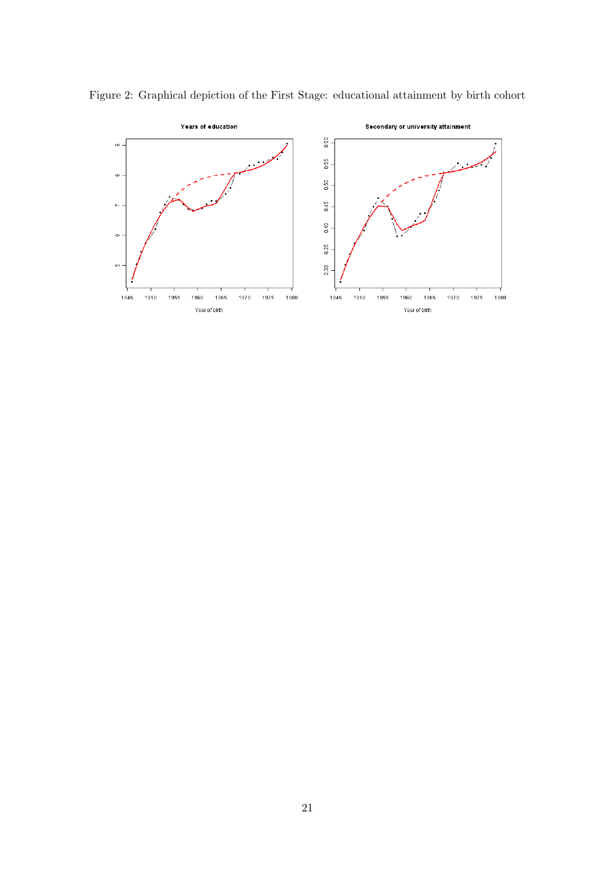

Figure 2: Graphical depiction of the First Stage: educational attainment by birth cohort